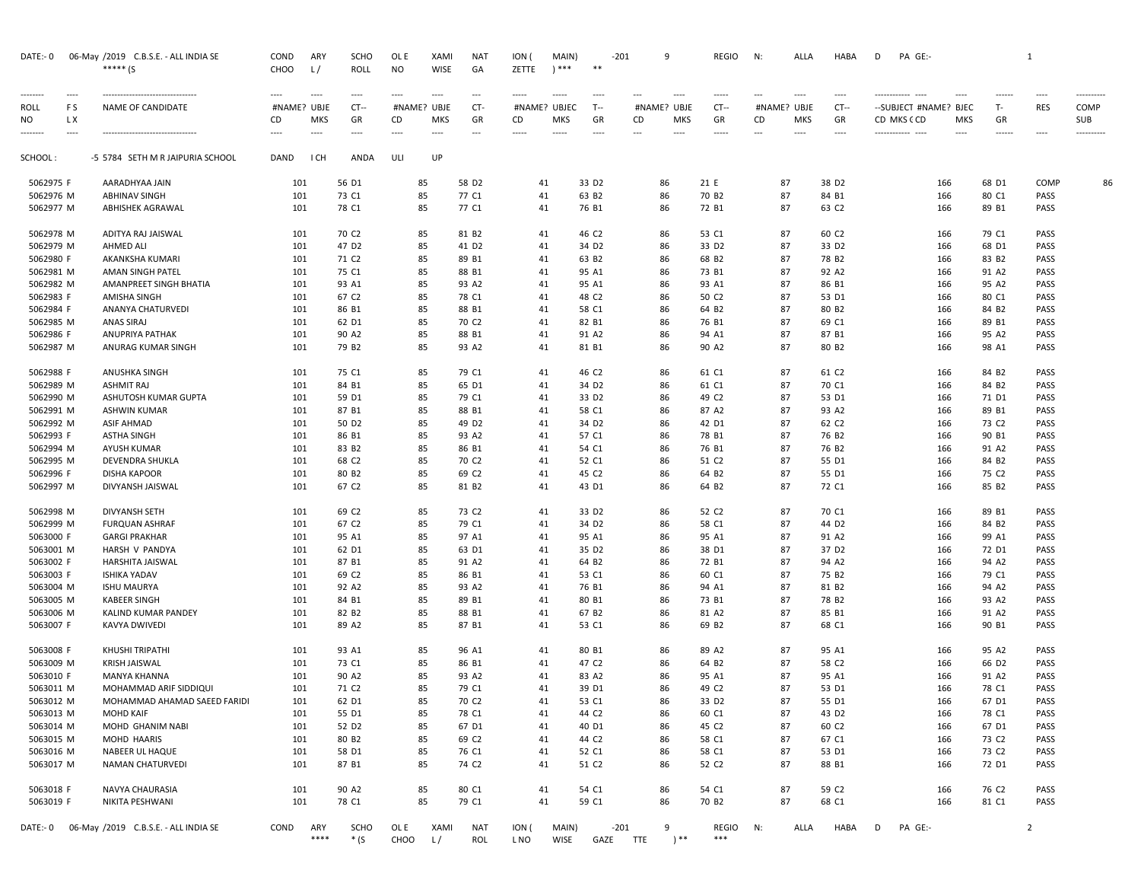| DATE:- 0    |             | 06-May /2019 C.B.S.E. - ALL INDIA SE<br>***** (S | COND<br>CHOO | ARY<br>L/          | <b>SCHO</b><br><b>ROLL</b> | OL E<br><b>NO</b> | <b>XAMI</b><br><b>WISE</b> | NAT<br>GA                      | ION (<br>ZETTE | MAIN)<br>$****$ | $* *$             | $-201$                         | 9                  | <b>REGIO</b>      | N:          | ALLA               | HABA              | D                              | PA GE:-               |                        |              | 1              |                   |
|-------------|-------------|--------------------------------------------------|--------------|--------------------|----------------------------|-------------------|----------------------------|--------------------------------|----------------|-----------------|-------------------|--------------------------------|--------------------|-------------------|-------------|--------------------|-------------------|--------------------------------|-----------------------|------------------------|--------------|----------------|-------------------|
|             | ----        |                                                  | ----         | ----               | ----                       | $---$             | $\cdots$                   | $\hspace{0.05cm} \ldots$       | $- - - - -$    | $- - - - -$     | $\cdots$          | $\cdots$                       | $---$              | $- - - - -$       | ---         | ----               | $\cdots$          |                                |                       | ----                   | ------       |                |                   |
| <b>ROLL</b> | F S         | NAME OF CANDIDATE                                | #NAME? UBJE  |                    | CT--                       | #NAME? UBJE       |                            | CT-                            | #NAME? UBJEC   |                 | $T-$              | #NAME? UBJE                    |                    | $CT -$            | #NAME? UBJE |                    | $CT -$            |                                | --SUBJECT #NAME? BJEC |                        | T-           | <b>RES</b>     | COMP              |
| NO          | L X<br>---- |                                                  | CD<br>----   | <b>MKS</b><br>---- | GR<br>----                 | CD                | <b>MKS</b><br>$\cdots$     | GR<br>$\overline{\phantom{a}}$ | CD<br>-----    | MKS<br>-----    | GR<br>----        | CD<br>$\overline{\phantom{a}}$ | <b>MKS</b><br>---- | GR<br>----        | CD<br>---   | <b>MKS</b><br>---- | GR<br>----        | CD MKS CCD<br>------------ --- |                       | <b>MKS</b><br>$\cdots$ | GR<br>------ | ----           | SUB<br>---------- |
| SCHOOL :    |             | -5 5784 SETH M R JAIPURIA SCHOOL                 | DAND         | I CH               | ANDA                       | ULI               | UP                         |                                |                |                 |                   |                                |                    |                   |             |                    |                   |                                |                       |                        |              |                |                   |
| 5062975 F   |             | AARADHYAA JAIN                                   | 101          |                    | 56 D1                      | 85                |                            | 58 D <sub>2</sub>              | 41             |                 | 33 D <sub>2</sub> | 86                             |                    | 21 E              |             | 87                 | 38 D <sub>2</sub> |                                | 166                   | 68 D1                  |              | COMP           | 86                |
| 5062976 M   |             | <b>ABHINAV SINGH</b>                             | 101          |                    | 73 C1                      | 85                |                            | 77 C1                          | 41             |                 | 63 B <sub>2</sub> | 86                             |                    | 70 B <sub>2</sub> |             | 87                 | 84 B1             |                                | 166                   | 80 C1                  |              | PASS           |                   |
| 5062977 M   |             | ABHISHEK AGRAWAL                                 | 101          |                    | 78 C1                      | 85                |                            | 77 C1                          | 41             |                 | 76 B1             | 86                             |                    | 72 B1             |             | 87                 | 63 C2             |                                | 166                   | 89 B1                  |              | PASS           |                   |
| 5062978 M   |             | ADITYA RAJ JAISWAL                               | 101          |                    | 70 C <sub>2</sub>          | 85                |                            | 81 B2                          | 41             |                 | 46 C2             | 86                             |                    | 53 C1             |             | 87                 | 60 C2             |                                | 166                   | 79 C1                  |              | PASS           |                   |
| 5062979 M   |             | <b>AHMED ALI</b>                                 | 101          |                    | 47 D <sub>2</sub>          | 85                |                            | 41 D <sub>2</sub>              | 41             |                 | 34 D <sub>2</sub> | 86                             |                    | 33 D <sub>2</sub> |             | 87                 | 33 D <sub>2</sub> |                                | 166                   | 68 D1                  |              | PASS           |                   |
| 5062980 F   |             | AKANKSHA KUMARI                                  | 101          |                    | 71 C <sub>2</sub>          | 85                |                            | 89 B1                          | 41             |                 | 63 B <sub>2</sub> | 86                             |                    | 68 B2             |             | 87                 | 78 B <sub>2</sub> |                                | 166                   | 83 B <sub>2</sub>      |              | PASS           |                   |
| 5062981 M   |             | AMAN SINGH PATEL                                 | 101          |                    | 75 C1                      | 85                |                            | 88 B1                          | 41             |                 | 95 A1             | 86                             |                    | 73 B1             |             | 87                 | 92 A2             |                                | 166                   | 91 A2                  |              | PASS           |                   |
| 5062982 M   |             | AMANPREET SINGH BHATIA                           | 101          |                    | 93 A1                      | 85                |                            | 93 A2                          | 41             |                 | 95 A1             | 86                             |                    | 93 A1             |             | 87                 | 86 B1             |                                | 166                   | 95 A2                  |              | PASS           |                   |
| 5062983 F   |             | AMISHA SINGH                                     | 101          |                    | 67 C <sub>2</sub>          | 85                |                            | 78 C1                          | 41             |                 | 48 C <sub>2</sub> | 86                             |                    | 50 C <sub>2</sub> |             | 87                 | 53 D1             |                                | 166                   | 80 C1                  |              | PASS           |                   |
| 5062984 F   |             | ANANYA CHATURVEDI                                | 101          |                    | 86 B1                      | 85                |                            | 88 B1                          | 41             |                 | 58 C1             | 86                             |                    | 64 B <sub>2</sub> |             | 87                 | 80 B <sub>2</sub> |                                | 166                   | 84 B <sub>2</sub>      |              | PASS           |                   |
| 5062985 M   |             | ANAS SIRAJ                                       | 101          |                    | 62 D1                      | 85                |                            | 70 C <sub>2</sub>              | 41             |                 | 82 B1             | 86                             |                    | 76 B1             |             | 87                 | 69 C1             |                                | 166                   | 89 B1                  |              | PASS           |                   |
| 5062986 F   |             | <b>ANUPRIYA PATHAK</b>                           | 101          |                    | 90 A2                      | 85                |                            | 88 B1                          | 41             |                 | 91 A2             | 86                             |                    | 94 A1             |             | 87                 | 87 B1             |                                | 166                   | 95 A2                  |              | PASS           |                   |
| 5062987 M   |             | ANURAG KUMAR SINGH                               | 101          |                    | 79 B <sub>2</sub>          | 85                |                            | 93 A2                          | 41             |                 | 81 B1             | 86                             |                    | 90 A2             |             | 87                 | 80 B <sub>2</sub> |                                | 166                   | 98 A1                  |              | PASS           |                   |
| 5062988 F   |             | ANUSHKA SINGH                                    | 101          |                    | 75 C1                      | 85                |                            | 79 C1                          | 41             |                 | 46 C <sub>2</sub> | 86                             |                    | 61 C1             | 87          |                    | 61 C2             |                                | 166                   | 84 B <sub>2</sub>      |              | PASS           |                   |
| 5062989 M   |             | <b>ASHMIT RAJ</b>                                | 101          |                    | 84 B1                      | 85                |                            | 65 D1                          | 41             |                 | 34 D <sub>2</sub> | 86                             |                    | 61 C1             | 87          |                    | 70 C1             |                                | 166                   | 84 B2                  |              | PASS           |                   |
| 5062990 M   |             | ASHUTOSH KUMAR GUPTA                             | 101          |                    | 59 D1                      | 85                |                            | 79 C1                          | 41             |                 | 33 D <sub>2</sub> | 86                             |                    | 49 C <sub>2</sub> |             | 87                 | 53 D1             |                                | 166                   | 71 D1                  |              | PASS           |                   |
| 5062991 M   |             | ASHWIN KUMAR                                     | 101          |                    | 87 B1                      | 85                |                            | 88 B1                          | 41             |                 | 58 C1             | 86                             |                    | 87 A2             |             | 87                 | 93 A2             |                                | 166                   | 89 B1                  |              | PASS           |                   |
| 5062992 M   |             | <b>ASIF AHMAD</b>                                | 101          |                    | 50 D <sub>2</sub>          | 85                |                            | 49 D <sub>2</sub>              | 41             |                 | 34 D <sub>2</sub> | 86                             |                    | 42 D1             |             | 87                 | 62 C <sub>2</sub> |                                | 166                   | 73 C <sub>2</sub>      |              | PASS           |                   |
| 5062993 F   |             | <b>ASTHA SINGH</b>                               | 101          |                    | 86 B1                      | 85                |                            | 93 A2                          | 41             |                 | 57 C1             | 86                             |                    | 78 B1             |             | 87                 | 76 B <sub>2</sub> |                                | 166                   | 90 B1                  |              | PASS           |                   |
| 5062994 M   |             | <b>AYUSH KUMAR</b>                               | 101          |                    | 83 B <sub>2</sub>          | 85                |                            | 86 B1                          | 41             |                 | 54 C1             | 86                             |                    | 76 B1             |             | 87                 | 76 B <sub>2</sub> |                                | 166                   | 91 A2                  |              | PASS           |                   |
| 5062995 M   |             | DEVENDRA SHUKLA                                  | 101          |                    | 68 C <sub>2</sub>          | 85                |                            | 70 C <sub>2</sub>              | 41             |                 | 52 C1             | 86                             |                    | 51 C <sub>2</sub> | 87          |                    | 55 D1             |                                | 166                   | 84 B2                  |              | PASS           |                   |
| 5062996 F   |             | <b>DISHA KAPOOR</b>                              | 101          |                    | 80 B <sub>2</sub>          | 85                |                            | 69 C <sub>2</sub>              | 41             |                 | 45 C <sub>2</sub> | 86                             |                    | 64 B2             |             | 87                 | 55 D1             |                                | 166                   | 75 C <sub>2</sub>      |              | PASS           |                   |
| 5062997 M   |             | DIVYANSH JAISWAL                                 | 101          |                    | 67 C <sub>2</sub>          | 85                |                            | 81 B2                          | 41             |                 | 43 D1             | 86                             |                    | 64 B <sub>2</sub> |             | 87                 | 72 C1             |                                | 166                   | 85 B2                  |              | PASS           |                   |
| 5062998 M   |             | DIVYANSH SETH                                    | 101          |                    | 69 C <sub>2</sub>          | 85                |                            | 73 C <sub>2</sub>              | 41             |                 | 33 D <sub>2</sub> | 86                             |                    | 52 C <sub>2</sub> | 87          |                    | 70 C1             |                                | 166                   | 89 B1                  |              | PASS           |                   |
| 5062999 M   |             | <b>FURQUAN ASHRAF</b>                            | 101          |                    | 67 C <sub>2</sub>          | 85                |                            | 79 C1                          | 41             |                 | 34 D <sub>2</sub> | 86                             |                    | 58 C1             |             | 87                 | 44 D <sub>2</sub> |                                | 166                   | 84 B2                  |              | PASS           |                   |
| 5063000 F   |             | <b>GARGI PRAKHAR</b>                             | 101          |                    | 95 A1                      | 85                |                            | 97 A1                          | 41             |                 | 95 A1             | 86                             |                    | 95 A1             |             | 87                 | 91 A2             |                                | 166                   | 99 A1                  |              | PASS           |                   |
| 5063001 M   |             | HARSH V PANDYA                                   | 101          |                    | 62 D1                      | 85                |                            | 63 D1                          | 41             |                 | 35 D <sub>2</sub> | 86                             |                    | 38 D1             |             | 87                 | 37 D <sub>2</sub> |                                | 166                   | 72 D1                  |              | PASS           |                   |
| 5063002 F   |             | HARSHITA JAISWAL                                 | 101          |                    | 87 B1                      | 85                |                            | 91 A2                          | 41             |                 | 64 B <sub>2</sub> | 86                             |                    | 72 B1             |             | 87                 | 94 A2             |                                | 166                   | 94 A2                  |              | PASS           |                   |
| 5063003 F   |             | <b>ISHIKA YADAV</b>                              | 101          |                    | 69 C <sub>2</sub>          | 85                |                            | 86 B1                          | 41             |                 | 53 C1             | 86                             |                    | 60 C1             |             | 87                 | 75 B <sub>2</sub> |                                | 166                   | 79 C1                  |              | PASS           |                   |
| 5063004 M   |             | <b>ISHU MAURYA</b>                               | 101          |                    | 92 A2                      | 85                |                            | 93 A2                          | 41             |                 | 76 B1             | 86                             |                    | 94 A1             |             | 87                 | 81 B2             |                                | 166                   | 94 A2                  |              | PASS           |                   |
| 5063005 M   |             | KABEER SINGH                                     | 101          |                    | 84 B1                      | 85                |                            | 89 B1                          | 41             |                 | 80 B1             | 86                             |                    | 73 B1             |             | 87                 | 78 B <sub>2</sub> |                                | 166                   | 93 A2                  |              | PASS           |                   |
| 5063006 M   |             | KALIND KUMAR PANDEY                              | 101          |                    | 82 B <sub>2</sub>          | 85                |                            | 88 B1                          | 41             |                 | 67 B <sub>2</sub> | 86                             |                    | 81 A2             | 87          |                    | 85 B1             |                                | 166                   | 91 A2                  |              | PASS           |                   |
| 5063007 F   |             | KAVYA DWIVEDI                                    | 101          |                    | 89 A2                      | 85                |                            | 87 B1                          | 41             |                 | 53 C1             | 86                             |                    | 69 B <sub>2</sub> | 87          |                    | 68 C1             |                                | 166                   | 90 B1                  |              | PASS           |                   |
| 5063008 F   |             | KHUSHI TRIPATHI                                  | 101          |                    | 93 A1                      | 85                |                            | 96 A1                          | 41             |                 | 80 B1             | 86                             |                    | 89 A2             | 87          |                    | 95 A1             |                                | 166                   | 95 A2                  |              | PASS           |                   |
| 5063009 M   |             | KRISH JAISWAL                                    | 101          |                    | 73 C1                      | 85                |                            | 86 B1                          | 41             |                 | 47 C <sub>2</sub> | 86                             |                    | 64 B2             |             | 87                 | 58 C <sub>2</sub> |                                | 166                   | 66 D <sub>2</sub>      |              | PASS           |                   |
| 5063010 F   |             | MANYA KHANNA                                     | 101          |                    | 90 A2                      | 85                |                            | 93 A2                          | 41             |                 | 83 A2             | 86                             |                    | 95 A1             | 87          |                    | 95 A1             |                                | 166                   | 91 A2                  |              | PASS           |                   |
| 5063011 M   |             | MOHAMMAD ARIF SIDDIQUI                           | 101          |                    | 71 C <sub>2</sub>          | 85                |                            | 79 C1                          | 41             |                 | 39 D1             | 86                             |                    | 49 C <sub>2</sub> |             | 87                 | 53 D1             |                                | 166                   | 78 C1                  |              | PASS           |                   |
| 5063012 M   |             | MOHAMMAD AHAMAD SAEED FARIDI                     | 101          |                    | 62 D1                      | 85                |                            | 70 C2                          | 41             |                 | 53 C1             | 86                             |                    | 33 D <sub>2</sub> | 87          |                    | 55 D1             |                                | 166                   | 67 D1                  |              | PASS           |                   |
| 5063013 M   |             | <b>MOHD KAIF</b>                                 | 101          |                    | 55 D1                      | 85                |                            | 78 C1                          | 41             |                 | 44 C <sub>2</sub> | 86                             |                    | 60 C1             |             | 87                 | 43 D <sub>2</sub> |                                | 166                   | 78 C1                  |              | PASS           |                   |
| 5063014 M   |             | MOHD GHANIM NABI                                 | 101          |                    | 52 D <sub>2</sub>          | 85                |                            | 67 D1                          | 41             |                 | 40 D1             | 86                             |                    | 45 C <sub>2</sub> |             | 87                 | 60 C <sub>2</sub> |                                | 166                   | 67 D1                  |              | PASS           |                   |
| 5063015 M   |             | MOHD HAARIS                                      | 101          |                    | 80 B <sub>2</sub>          | 85                |                            | 69 C <sub>2</sub>              | 41             |                 | 44 C2             | 86                             |                    | 58 C1             |             | 87                 | 67 C1             |                                | 166                   | 73 C <sub>2</sub>      |              | PASS           |                   |
| 5063016 M   |             | NABEER UL HAQUE                                  | 101          |                    | 58 D1                      | 85                |                            | 76 C1                          | 41             |                 | 52 C1             | 86                             |                    | 58 C1             |             | 87                 | 53 D1             |                                | 166                   | 73 C <sub>2</sub>      |              | PASS           |                   |
| 5063017 M   |             | NAMAN CHATURVEDI                                 | 101          |                    | 87 B1                      | 85                |                            | 74 C <sub>2</sub>              | 41             |                 | 51 C <sub>2</sub> | 86                             |                    | 52 C <sub>2</sub> |             | 87                 | 88 B1             |                                | 166                   | 72 D1                  |              | PASS           |                   |
| 5063018 F   |             | NAVYA CHAURASIA                                  | 101          |                    | 90 A2                      | 85                |                            | 80 C1                          | 41             |                 | 54 C1             | 86                             |                    | 54 C1             |             | 87                 | 59 C <sub>2</sub> |                                | 166                   | 76 C <sub>2</sub>      |              | PASS           |                   |
| 5063019 F   |             | NIKITA PESHWANI                                  | 101          |                    | 78 C1                      | 85                |                            | 79 C1                          | 41             |                 | 59 C1             | 86                             |                    | 70 B <sub>2</sub> |             | 87                 | 68 C1             |                                | 166                   | 81 C1                  |              | PASS           |                   |
| DATE:- 0    |             | 06-May /2019 C.B.S.E. - ALL INDIA SE             | COND         | ARY                | <b>SCHO</b>                | OL E              | XAMI                       | NAT                            | ION (          | MAIN)           |                   | $-201$                         | 9                  | REGIO             | N:          | ALLA               | HABA              | D                              | PA GE:-               |                        |              | $\overline{2}$ |                   |
|             |             |                                                  |              | ****               | $*(S)$                     | CHOO              | L/                         | ROL                            | L NO           | WISE            |                   | GAZE TTE                       | $)$ **             | $***$             |             |                    |                   |                                |                       |                        |              |                |                   |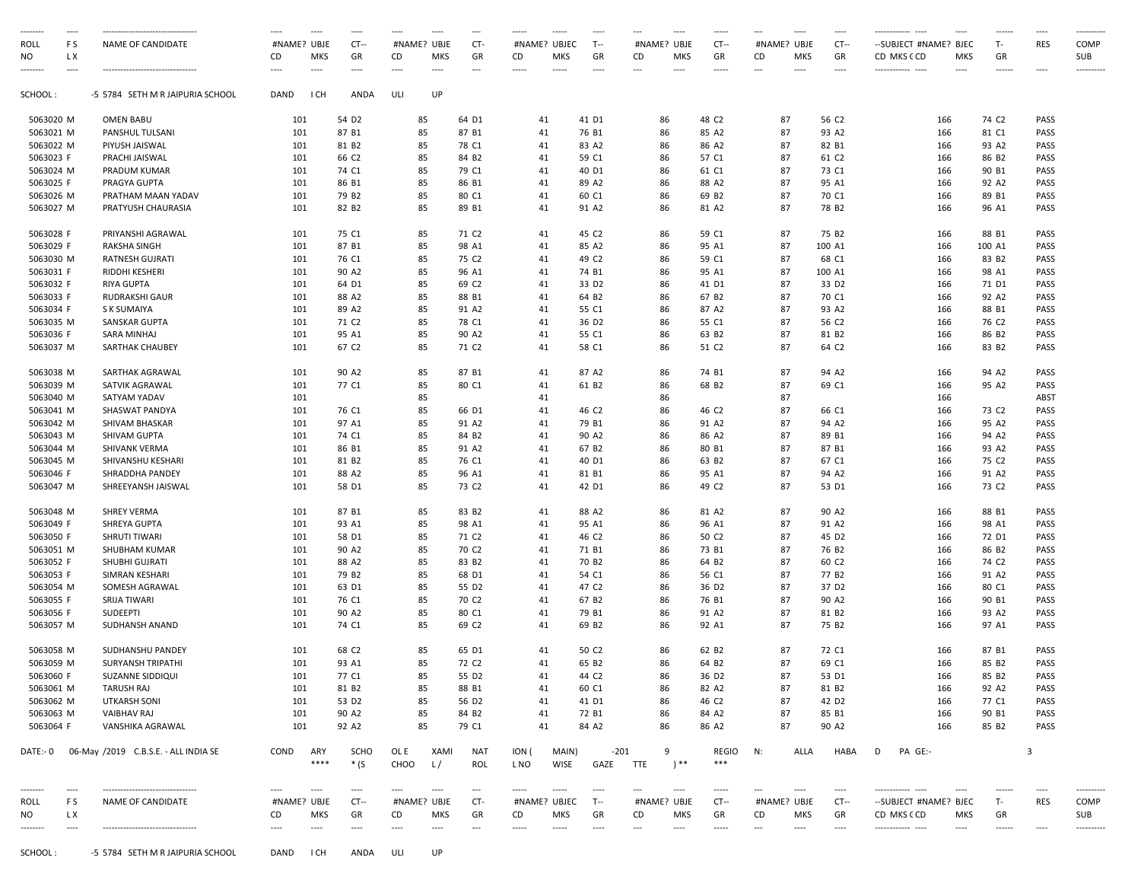|                  | ----               |                                                       | ----                       | $\cdots$        | ----                  | $\cdots$                   | ----               | ---                                   | -----                                                                                                                                                                                                                                                                                                                                                                                                                                                                                                  | $\cdots$            | $\cdots$           | $\overline{\phantom{a}}$       | ----                           | -----                                                                                                                                                                                                                                                                                                                                                                                                                                                                                            | ---<br>----                                    | $\cdots$              | ------------<br>$\sim$                                   | $---$               | ------            | $\cdots$             | ----------         |
|------------------|--------------------|-------------------------------------------------------|----------------------------|-----------------|-----------------------|----------------------------|--------------------|---------------------------------------|--------------------------------------------------------------------------------------------------------------------------------------------------------------------------------------------------------------------------------------------------------------------------------------------------------------------------------------------------------------------------------------------------------------------------------------------------------------------------------------------------------|---------------------|--------------------|--------------------------------|--------------------------------|--------------------------------------------------------------------------------------------------------------------------------------------------------------------------------------------------------------------------------------------------------------------------------------------------------------------------------------------------------------------------------------------------------------------------------------------------------------------------------------------------|------------------------------------------------|-----------------------|----------------------------------------------------------|---------------------|-------------------|----------------------|--------------------|
| roll<br>NO       | FS<br>L X<br>$---$ | NAME OF CANDIDATE<br>-------------------------------- | #NAME? UBJE<br>CD<br>$---$ | MKS<br>$\cdots$ | $CT -$<br>GR<br>$---$ | #NAME? UBJE<br>CD<br>$---$ | <b>MKS</b><br>---- | CT-<br>GR<br>$\overline{\phantom{a}}$ | #NAME? UBJEC<br>CD<br>-----                                                                                                                                                                                                                                                                                                                                                                                                                                                                            | <b>MKS</b><br>----- | T--<br>GR<br>$---$ | CD<br>$\hspace{0.05cm} \ldots$ | #NAME? UBJE<br>MKS<br>$\cdots$ | $CT -$<br>GR<br>-----                                                                                                                                                                                                                                                                                                                                                                                                                                                                            | #NAME? UBJE<br>CD<br><b>MKS</b><br>---<br>---- | $CT -$<br>GR<br>$---$ | --SUBJECT #NAME? BJEC<br>CD MKS CCD<br>------------ ---- | <b>MKS</b><br>$---$ | $T -$<br>GR       | <b>RES</b>           | COMP<br>SUB        |
| SCHOOL :         |                    | -5 5784 SETH M R JAIPURIA SCHOOL                      | DAND                       | I CH            | ANDA                  | ULI                        | UP                 |                                       |                                                                                                                                                                                                                                                                                                                                                                                                                                                                                                        |                     |                    |                                |                                |                                                                                                                                                                                                                                                                                                                                                                                                                                                                                                  |                                                |                       |                                                          |                     | $- - - - - -$     | $\cdots$             | ----------         |
| 5063020 M        |                    | <b>OMEN BABU</b>                                      | 101                        |                 | 54 D <sub>2</sub>     | 85                         |                    | 64 D1                                 | 41                                                                                                                                                                                                                                                                                                                                                                                                                                                                                                     |                     | 41 D1              |                                | 86                             | 48 C <sub>2</sub>                                                                                                                                                                                                                                                                                                                                                                                                                                                                                | 87                                             | 56 C <sub>2</sub>     |                                                          | 166                 | 74 C <sub>2</sub> | <b>PASS</b>          |                    |
| 5063021 M        |                    | PANSHUL TULSANI                                       | 101                        |                 | 87 B1                 | 85                         |                    | 87 B1                                 | 41                                                                                                                                                                                                                                                                                                                                                                                                                                                                                                     |                     | 76 B1              |                                | 86                             | 85 A2                                                                                                                                                                                                                                                                                                                                                                                                                                                                                            | 87                                             | 93 A2                 |                                                          | 166                 | 81 C1             | PASS                 |                    |
| 5063022 M        |                    | PIYUSH JAISWAL                                        | 101                        |                 | 81 B2                 | 85                         |                    | 78 C1                                 | 41                                                                                                                                                                                                                                                                                                                                                                                                                                                                                                     |                     | 83 A2              |                                | 86                             | 86 A2                                                                                                                                                                                                                                                                                                                                                                                                                                                                                            | 87                                             | 82 B1                 |                                                          | 166                 | 93 A2             | PASS                 |                    |
| 5063023 F        |                    | PRACHI JAISWAL                                        | 101                        |                 | 66 C <sub>2</sub>     | 85                         |                    | 84 B2                                 | 41                                                                                                                                                                                                                                                                                                                                                                                                                                                                                                     |                     | 59 C1              |                                | 86                             | 57 C1                                                                                                                                                                                                                                                                                                                                                                                                                                                                                            | 87                                             | 61 C <sub>2</sub>     |                                                          | 166                 | 86 B <sub>2</sub> | PASS                 |                    |
| 5063024 M        |                    | PRADUM KUMAR                                          | 101                        |                 | 74 C1                 | 85                         |                    | 79 C1                                 | 41                                                                                                                                                                                                                                                                                                                                                                                                                                                                                                     |                     | 40 D1              |                                | 86                             | 61 C1                                                                                                                                                                                                                                                                                                                                                                                                                                                                                            | 87                                             | 73 C1                 |                                                          | 166                 | 90 B1             | PASS                 |                    |
| 5063025 F        |                    | PRAGYA GUPTA                                          | 101                        |                 | 86 B1                 | 85                         |                    | 86 B1                                 | 41                                                                                                                                                                                                                                                                                                                                                                                                                                                                                                     |                     | 89 A2              |                                | 86                             | 88 A2                                                                                                                                                                                                                                                                                                                                                                                                                                                                                            | 87                                             | 95 A1                 |                                                          | 166                 | 92 A2             | <b>PASS</b>          |                    |
| 5063026 M        |                    | PRATHAM MAAN YADAV                                    | 101                        |                 | 79 B <sub>2</sub>     | 85                         |                    | 80 C1                                 | 41                                                                                                                                                                                                                                                                                                                                                                                                                                                                                                     |                     | 60 C1              |                                | 86                             | 69 B <sub>2</sub>                                                                                                                                                                                                                                                                                                                                                                                                                                                                                | 87                                             | 70 C1                 |                                                          | 166                 | 89 B1             | PASS                 |                    |
| 5063027 M        |                    | PRATYUSH CHAURASIA                                    | 101                        |                 | 82 B <sub>2</sub>     | 85                         |                    | 89 B1                                 | 41                                                                                                                                                                                                                                                                                                                                                                                                                                                                                                     |                     | 91 A2              |                                | 86                             | 81 A2                                                                                                                                                                                                                                                                                                                                                                                                                                                                                            | 87                                             | 78 B <sub>2</sub>     |                                                          | 166                 | 96 A1             | PASS                 |                    |
| 5063028 F        |                    | PRIYANSHI AGRAWAL                                     | 101                        |                 | 75 C1                 | 85                         |                    | 71 C <sub>2</sub>                     | 41                                                                                                                                                                                                                                                                                                                                                                                                                                                                                                     |                     | 45 C <sub>2</sub>  |                                | 86                             | 59 C1                                                                                                                                                                                                                                                                                                                                                                                                                                                                                            | 87                                             | 75 B <sub>2</sub>     |                                                          | 166                 | 88 B1             | PASS                 |                    |
| 5063029 F        |                    | <b>RAKSHA SINGH</b>                                   | 101                        |                 | 87 B1                 | 85                         |                    | 98 A1                                 | 41                                                                                                                                                                                                                                                                                                                                                                                                                                                                                                     |                     | 85 A2              |                                | 86                             | 95 A1                                                                                                                                                                                                                                                                                                                                                                                                                                                                                            | 87                                             | 100 A1                |                                                          | 166                 | 100 A1            | PASS                 |                    |
| 5063030 M        |                    | RATNESH GUJRATI                                       | 101                        |                 | 76 C1                 | 85                         |                    | 75 C <sub>2</sub>                     | 41                                                                                                                                                                                                                                                                                                                                                                                                                                                                                                     |                     | 49 C <sub>2</sub>  |                                | 86                             | 59 C1                                                                                                                                                                                                                                                                                                                                                                                                                                                                                            | 87                                             | 68 C1                 |                                                          | 166                 | 83 B <sub>2</sub> | <b>PASS</b>          |                    |
| 5063031 F        |                    | RIDDHI KESHERI                                        | 101                        |                 | 90 A2                 | 85                         |                    | 96 A1                                 | 41                                                                                                                                                                                                                                                                                                                                                                                                                                                                                                     |                     | 74 B1              |                                | 86                             | 95 A1                                                                                                                                                                                                                                                                                                                                                                                                                                                                                            | 87                                             | 100 A1                |                                                          | 166                 | 98 A1             | PASS                 |                    |
| 5063032 F        |                    | <b>RIYA GUPTA</b>                                     | 101                        |                 | 64 D1                 | 85                         |                    | 69 C <sub>2</sub>                     | 41                                                                                                                                                                                                                                                                                                                                                                                                                                                                                                     |                     | 33 D <sub>2</sub>  |                                | 86                             | 41 D1                                                                                                                                                                                                                                                                                                                                                                                                                                                                                            | 87                                             | 33 D <sub>2</sub>     |                                                          | 166                 | 71 D1             | <b>PASS</b>          |                    |
| 5063033 F        |                    | <b>RUDRAKSHI GAUR</b>                                 | 101                        |                 | 88 A2                 | 85                         |                    | 88 B1                                 | 41                                                                                                                                                                                                                                                                                                                                                                                                                                                                                                     |                     | 64 B2              |                                | 86                             | 67 B <sub>2</sub>                                                                                                                                                                                                                                                                                                                                                                                                                                                                                | 87                                             | 70 C1                 |                                                          | 166                 | 92 A2             | PASS                 |                    |
| 5063034 F        |                    | S K SUMAIYA                                           | 101                        |                 | 89 A2                 | 85                         |                    | 91 A2                                 | 41                                                                                                                                                                                                                                                                                                                                                                                                                                                                                                     |                     | 55 C1              |                                | 86                             | 87 A2                                                                                                                                                                                                                                                                                                                                                                                                                                                                                            | 87                                             | 93 A2                 |                                                          | 166                 | 88 B1             | PASS                 |                    |
| 5063035 M        |                    | SANSKAR GUPTA                                         | 101                        |                 | 71 C <sub>2</sub>     | 85                         |                    | 78 C1                                 | 41                                                                                                                                                                                                                                                                                                                                                                                                                                                                                                     |                     | 36 D <sub>2</sub>  |                                | 86                             | 55 C1                                                                                                                                                                                                                                                                                                                                                                                                                                                                                            | 87                                             | 56 C <sub>2</sub>     |                                                          | 166                 | 76 C <sub>2</sub> | PASS                 |                    |
| 5063036 F        |                    | SARA MINHAJ                                           | 101                        |                 | 95 A1                 | 85                         |                    | 90 A2                                 | 41                                                                                                                                                                                                                                                                                                                                                                                                                                                                                                     |                     | 55 C1              |                                | 86                             | 63 B <sub>2</sub>                                                                                                                                                                                                                                                                                                                                                                                                                                                                                | 87                                             | 81 B <sub>2</sub>     |                                                          | 166                 | 86 B <sub>2</sub> | PASS                 |                    |
| 5063037 M        |                    | SARTHAK CHAUBEY                                       | 101                        |                 | 67 C <sub>2</sub>     | 85                         |                    | 71 C <sub>2</sub>                     | 41                                                                                                                                                                                                                                                                                                                                                                                                                                                                                                     |                     | 58 C1              |                                | 86                             | 51 C <sub>2</sub>                                                                                                                                                                                                                                                                                                                                                                                                                                                                                | 87                                             | 64 C2                 |                                                          | 166                 | 83 B <sub>2</sub> | <b>PASS</b>          |                    |
| 5063038 M        |                    | SARTHAK AGRAWAL                                       | 101                        |                 | 90 A2                 | 85                         |                    | 87 B1                                 | 41                                                                                                                                                                                                                                                                                                                                                                                                                                                                                                     |                     | 87 A2              |                                | 86                             | 74 B1                                                                                                                                                                                                                                                                                                                                                                                                                                                                                            | 87                                             | 94 A2                 |                                                          | 166                 | 94 A2             | PASS                 |                    |
| 5063039 M        |                    | SATVIK AGRAWAL                                        | 101                        |                 | 77 C1                 | 85                         |                    | 80 C1                                 | 41                                                                                                                                                                                                                                                                                                                                                                                                                                                                                                     |                     | 61 B2              |                                | 86                             | 68 B2                                                                                                                                                                                                                                                                                                                                                                                                                                                                                            | 87                                             | 69 C1                 |                                                          | 166                 | 95 A2             | PASS                 |                    |
| 5063040 M        |                    | SATYAM YADAV                                          | 101                        |                 |                       | 85                         |                    |                                       | 41                                                                                                                                                                                                                                                                                                                                                                                                                                                                                                     |                     |                    |                                | 86                             |                                                                                                                                                                                                                                                                                                                                                                                                                                                                                                  | 87                                             |                       |                                                          | 166                 |                   | ABST                 |                    |
| 5063041 M        |                    | SHASWAT PANDYA                                        | 101                        |                 | 76 C1                 | 85                         |                    | 66 D1                                 | 41                                                                                                                                                                                                                                                                                                                                                                                                                                                                                                     |                     | 46 C <sub>2</sub>  |                                | 86                             | 46 C <sub>2</sub>                                                                                                                                                                                                                                                                                                                                                                                                                                                                                | 87                                             | 66 C1                 |                                                          | 166                 | 73 C <sub>2</sub> | <b>PASS</b>          |                    |
| 5063042 M        |                    | SHIVAM BHASKAR                                        | 101                        |                 | 97 A1                 | 85                         |                    | 91 A2                                 | 41                                                                                                                                                                                                                                                                                                                                                                                                                                                                                                     |                     | 79 B1              |                                | 86                             | 91 A2                                                                                                                                                                                                                                                                                                                                                                                                                                                                                            | 87                                             | 94 A2                 |                                                          | 166                 | 95 A2             | <b>PASS</b>          |                    |
| 5063043 M        |                    | SHIVAM GUPTA                                          | 101                        |                 | 74 C1                 | 85                         |                    | 84 B2                                 | 41                                                                                                                                                                                                                                                                                                                                                                                                                                                                                                     |                     | 90 A2              |                                | 86                             | 86 A2                                                                                                                                                                                                                                                                                                                                                                                                                                                                                            | 87                                             | 89 B1                 |                                                          | 166                 | 94 A2             | <b>PASS</b>          |                    |
| 5063044 M        |                    | SHIVANK VERMA                                         | 101                        |                 | 86 B1                 | 85                         |                    | 91 A2                                 | 41                                                                                                                                                                                                                                                                                                                                                                                                                                                                                                     |                     | 67 B <sub>2</sub>  |                                | 86                             | 80 B1                                                                                                                                                                                                                                                                                                                                                                                                                                                                                            | 87                                             | 87 B1                 |                                                          | 166                 | 93 A2             | PASS                 |                    |
| 5063045 M        |                    | SHIVANSHU KESHARI                                     | 101                        |                 | 81 B2                 | 85                         |                    | 76 C1                                 | 41                                                                                                                                                                                                                                                                                                                                                                                                                                                                                                     |                     | 40 D1              |                                | 86                             | 63 B2                                                                                                                                                                                                                                                                                                                                                                                                                                                                                            | 87                                             | 67 C1                 |                                                          | 166                 | 75 C <sub>2</sub> | PASS                 |                    |
| 5063046 F        |                    | SHRADDHA PANDEY                                       | 101                        |                 | 88 A2                 | 85                         |                    | 96 A1                                 | 41                                                                                                                                                                                                                                                                                                                                                                                                                                                                                                     |                     | 81 B1              |                                | 86                             | 95 A1                                                                                                                                                                                                                                                                                                                                                                                                                                                                                            | 87                                             | 94 A2                 |                                                          | 166                 | 91 A2             | PASS                 |                    |
| 5063047 M        |                    | SHREEYANSH JAISWAL                                    | 101                        |                 | 58 D1                 | 85                         |                    | 73 C <sub>2</sub>                     | 41                                                                                                                                                                                                                                                                                                                                                                                                                                                                                                     |                     | 42 D1              |                                | 86                             | 49 C2                                                                                                                                                                                                                                                                                                                                                                                                                                                                                            | 87                                             | 53 D1                 |                                                          | 166                 | 73 C <sub>2</sub> | <b>PASS</b>          |                    |
| 5063048 M        |                    | <b>SHREY VERMA</b>                                    | 101                        |                 | 87 B1                 | 85                         |                    | 83 B2                                 | 41                                                                                                                                                                                                                                                                                                                                                                                                                                                                                                     |                     | 88 A2              |                                | 86                             | 81 A2                                                                                                                                                                                                                                                                                                                                                                                                                                                                                            | 87                                             | 90 A2                 |                                                          | 166                 | 88 B1             | PASS                 |                    |
| 5063049 F        |                    | SHREYA GUPTA                                          | 101                        |                 | 93 A1                 | 85                         |                    | 98 A1                                 | 41                                                                                                                                                                                                                                                                                                                                                                                                                                                                                                     |                     | 95 A1              |                                | 86                             | 96 A1                                                                                                                                                                                                                                                                                                                                                                                                                                                                                            | 87                                             | 91 A2                 |                                                          | 166                 | 98 A1             | <b>PASS</b>          |                    |
| 5063050 F        |                    | SHRUTI TIWARI                                         | 101                        |                 | 58 D1                 | 85                         |                    | 71 C <sub>2</sub>                     | 41                                                                                                                                                                                                                                                                                                                                                                                                                                                                                                     |                     | 46 C <sub>2</sub>  |                                | 86                             | 50 C <sub>2</sub>                                                                                                                                                                                                                                                                                                                                                                                                                                                                                | 87                                             | 45 D <sub>2</sub>     |                                                          | 166                 | 72 D1             | PASS                 |                    |
| 5063051 M        |                    | SHUBHAM KUMAR                                         | 101                        |                 | 90 A2                 | 85                         |                    | 70 C <sub>2</sub>                     | 41                                                                                                                                                                                                                                                                                                                                                                                                                                                                                                     |                     | 71 B1              |                                | 86                             | 73 B1                                                                                                                                                                                                                                                                                                                                                                                                                                                                                            | 87                                             | 76 B <sub>2</sub>     |                                                          | 166                 | 86 B <sub>2</sub> | PASS                 |                    |
| 5063052 F        |                    | SHUBHI GUJRATI                                        | 101                        |                 | 88 A2                 | 85                         |                    | 83 B2                                 | 41                                                                                                                                                                                                                                                                                                                                                                                                                                                                                                     |                     | 70 B <sub>2</sub>  |                                | 86                             | 64 B <sub>2</sub>                                                                                                                                                                                                                                                                                                                                                                                                                                                                                | 87                                             | 60 C <sub>2</sub>     |                                                          | 166                 | 74 C <sub>2</sub> | PASS                 |                    |
| 5063053 F        |                    | SIMRAN KESHARI                                        | 101                        |                 | 79 B <sub>2</sub>     | 85                         |                    | 68 D1                                 | 41                                                                                                                                                                                                                                                                                                                                                                                                                                                                                                     |                     | 54 C1              |                                | 86                             | 56 C1                                                                                                                                                                                                                                                                                                                                                                                                                                                                                            | 87                                             | 77 B <sub>2</sub>     |                                                          | 166                 | 91 A2             | <b>PASS</b>          |                    |
| 5063054 M        |                    | SOMESH AGRAWAL                                        | 101                        |                 | 63 D1                 | 85                         |                    | 55 D <sub>2</sub>                     | 41                                                                                                                                                                                                                                                                                                                                                                                                                                                                                                     |                     | 47 C <sub>2</sub>  |                                | 86                             | 36 D <sub>2</sub>                                                                                                                                                                                                                                                                                                                                                                                                                                                                                | 87                                             | 37 D <sub>2</sub>     |                                                          | 166                 | 80 C1             | <b>PASS</b>          |                    |
| 5063055 F        |                    | SRIJA TIWARI                                          | 101                        |                 | 76 C1                 | 85                         |                    | 70 C <sub>2</sub>                     | 41                                                                                                                                                                                                                                                                                                                                                                                                                                                                                                     |                     | 67 B <sub>2</sub>  |                                | 86                             | 76 B1                                                                                                                                                                                                                                                                                                                                                                                                                                                                                            | 87                                             | 90 A2                 |                                                          | 166                 | 90 B1             | PASS                 |                    |
| 5063056 F        |                    | SUDEEPTI                                              | 101                        |                 | 90 A2                 | 85                         |                    | 80 C1                                 | 41                                                                                                                                                                                                                                                                                                                                                                                                                                                                                                     |                     | 79 B1              |                                | 86                             | 91 A2                                                                                                                                                                                                                                                                                                                                                                                                                                                                                            | 87                                             | 81 B2                 |                                                          | 166                 | 93 A2             | PASS                 |                    |
| 5063057 M        |                    | SUDHANSH ANAND                                        | 101                        |                 | 74 C1                 | 85                         |                    | 69 C2                                 | 41                                                                                                                                                                                                                                                                                                                                                                                                                                                                                                     |                     | 69 B <sub>2</sub>  |                                | 86                             | 92 A1                                                                                                                                                                                                                                                                                                                                                                                                                                                                                            | 87                                             | 75 B <sub>2</sub>     |                                                          | 166                 | 97 A1             | PASS                 |                    |
| 5063058 M        |                    | SUDHANSHU PANDEY                                      | 101                        |                 | 68 C2                 | 85                         |                    | 65 D1                                 | 41                                                                                                                                                                                                                                                                                                                                                                                                                                                                                                     |                     | 50 C <sub>2</sub>  |                                | 86                             | 62 B <sub>2</sub>                                                                                                                                                                                                                                                                                                                                                                                                                                                                                | 87                                             | 72 C1                 |                                                          | 166                 | 87 B1             | <b>PASS</b>          |                    |
| 5063059 M        |                    | <b>SURYANSH TRIPATHI</b>                              | 101                        |                 | 93 A1                 | 85                         |                    | 72 C <sub>2</sub>                     | 41                                                                                                                                                                                                                                                                                                                                                                                                                                                                                                     |                     | 65 B2              |                                | 86                             | 64 B <sub>2</sub>                                                                                                                                                                                                                                                                                                                                                                                                                                                                                | 87                                             | 69 C1                 |                                                          | 166                 | 85 B2             | PASS                 |                    |
| 5063060 F        |                    | SUZANNE SIDDIQUI                                      | 101                        |                 | 77 C1                 | 85                         |                    | 55 D <sub>2</sub>                     | 41                                                                                                                                                                                                                                                                                                                                                                                                                                                                                                     |                     | 44 C2              |                                | 86                             | 36 D <sub>2</sub>                                                                                                                                                                                                                                                                                                                                                                                                                                                                                | 87                                             | 53 D1                 |                                                          | 166                 | 85 B2             | PASS                 |                    |
| 5063061 M        |                    | TARUSH RAJ                                            | 101                        |                 | 81 B2                 | 85                         |                    | 88 B1                                 | 41                                                                                                                                                                                                                                                                                                                                                                                                                                                                                                     |                     | 60 C1              |                                | 86                             | 82 A2                                                                                                                                                                                                                                                                                                                                                                                                                                                                                            | 87                                             | 81 B <sub>2</sub>     |                                                          | 166                 | 92 A2             | PASS                 |                    |
| 5063062 M        |                    | <b>UTKARSH SONI</b>                                   | 101                        |                 | 53 D <sub>2</sub>     | 85                         |                    | 56 D <sub>2</sub>                     | 41                                                                                                                                                                                                                                                                                                                                                                                                                                                                                                     |                     | 41 D1              |                                | 86                             | 46 C <sub>2</sub>                                                                                                                                                                                                                                                                                                                                                                                                                                                                                | 87                                             | 42 D <sub>2</sub>     |                                                          |                     | 77 C1             | PASS                 |                    |
| 5063063 M        |                    | <b>VAIBHAV RAJ</b>                                    | 101                        |                 | 90 A2                 | 85                         |                    | 84 B <sub>2</sub>                     | 41                                                                                                                                                                                                                                                                                                                                                                                                                                                                                                     |                     | 72 B1              |                                | 86                             | 84 A2                                                                                                                                                                                                                                                                                                                                                                                                                                                                                            | 87                                             | 85 B1                 |                                                          | 166<br>166          | 90 B1             | PASS                 |                    |
| 5063064 F        |                    | VANSHIKA AGRAWAL                                      | 101                        |                 | 92 A2                 | 85                         |                    | 79 C1                                 | 41                                                                                                                                                                                                                                                                                                                                                                                                                                                                                                     |                     | 84 A2              |                                | 86                             | 86 A2                                                                                                                                                                                                                                                                                                                                                                                                                                                                                            | 87                                             | 90 A2                 |                                                          | 166                 | 85 B2             | PASS                 |                    |
| DATE:- 0         |                    | 06-May /2019 C.B.S.E. - ALL INDIA SE                  | COND                       | ARY             | <b>SCHO</b>           | OL E                       | XAMI               | NAT                                   | ION (                                                                                                                                                                                                                                                                                                                                                                                                                                                                                                  | MAIN)               |                    | $-201$                         | 9                              | <b>REGIO</b>                                                                                                                                                                                                                                                                                                                                                                                                                                                                                     | <b>ALLA</b><br>N:                              | HABA                  | D<br>PA GE:-                                             |                     |                   | 3                    |                    |
|                  |                    |                                                       |                            | ****            | $*(S)$                | CHOO                       | L/                 | <b>ROL</b>                            | L NO                                                                                                                                                                                                                                                                                                                                                                                                                                                                                                   | <b>WISE</b>         | GAZE               | <b>TTE</b>                     | $^{\ast}$                      | ***                                                                                                                                                                                                                                                                                                                                                                                                                                                                                              |                                                |                       |                                                          |                     |                   |                      |                    |
| --------<br>roll | $---$<br>FS        | --------------------------------<br>NAME OF CANDIDATE | $---$<br>#NAME? UBJE       | $\cdots$        | $---$<br>$CT -$       | $\cdots$<br>#NAME? UBJE    | $\cdots$           | $\cdots$<br>CT-                       | $\begin{array}{cccccccccc} \multicolumn{2}{c}{} & \multicolumn{2}{c}{} & \multicolumn{2}{c}{} & \multicolumn{2}{c}{} & \multicolumn{2}{c}{} & \multicolumn{2}{c}{} & \multicolumn{2}{c}{} & \multicolumn{2}{c}{} & \multicolumn{2}{c}{} & \multicolumn{2}{c}{} & \multicolumn{2}{c}{} & \multicolumn{2}{c}{} & \multicolumn{2}{c}{} & \multicolumn{2}{c}{} & \multicolumn{2}{c}{} & \multicolumn{2}{c}{} & \multicolumn{2}{c}{} & \multicolumn{2}{c}{} & \multicolumn{2}{c}{} & \mult$<br>#NAME? UBJEC | $100 - 100$         | $\cdots$<br>T--    | $\cdots$                       | $\cdots$<br>#NAME? UBJE        | $\begin{array}{cccccccccc} \multicolumn{2}{c}{} & \multicolumn{2}{c}{} & \multicolumn{2}{c}{} & \multicolumn{2}{c}{} & \multicolumn{2}{c}{} & \multicolumn{2}{c}{} & \multicolumn{2}{c}{} & \multicolumn{2}{c}{} & \multicolumn{2}{c}{} & \multicolumn{2}{c}{} & \multicolumn{2}{c}{} & \multicolumn{2}{c}{} & \multicolumn{2}{c}{} & \multicolumn{2}{c}{} & \multicolumn{2}{c}{} & \multicolumn{2}{c}{} & \multicolumn{2}{c}{} & \multicolumn{2}{c}{} & \multicolumn{2}{c}{} & \mult$<br>$CT -$ | ---<br>$\cdots$<br>#NAME? UBJE                 | $\cdots$<br>$CT -$    | ------------ ----<br>--SUBJECT #NAME? BJEC               | $---$               | T-                | $-- -$<br><b>RES</b> | ----------<br>COMP |
| NO               | L X                |                                                       | CD                         | MKS             | GR                    | CD                         | MKS                | GR                                    | CD                                                                                                                                                                                                                                                                                                                                                                                                                                                                                                     | MKS                 | GR                 | CD                             | MKS                            | GR                                                                                                                                                                                                                                                                                                                                                                                                                                                                                               | MKS<br>CD                                      | GR                    | CD MKS CCD                                               | MKS                 | GR                |                      | SUB                |
|                  |                    |                                                       | ----                       | $\cdots$        | ----                  | $\cdots$                   | $\cdots$           |                                       | -----                                                                                                                                                                                                                                                                                                                                                                                                                                                                                                  | $\cdots$            | $---$              | $\overline{\phantom{a}}$       | $\cdots$                       |                                                                                                                                                                                                                                                                                                                                                                                                                                                                                                  | $\cdots$                                       | ----                  |                                                          | $\cdots$            |                   | $\cdots$             | ----------         |
|                  |                    |                                                       |                            |                 |                       |                            |                    |                                       |                                                                                                                                                                                                                                                                                                                                                                                                                                                                                                        |                     |                    |                                |                                |                                                                                                                                                                                                                                                                                                                                                                                                                                                                                                  |                                                |                       |                                                          |                     |                   |                      |                    |